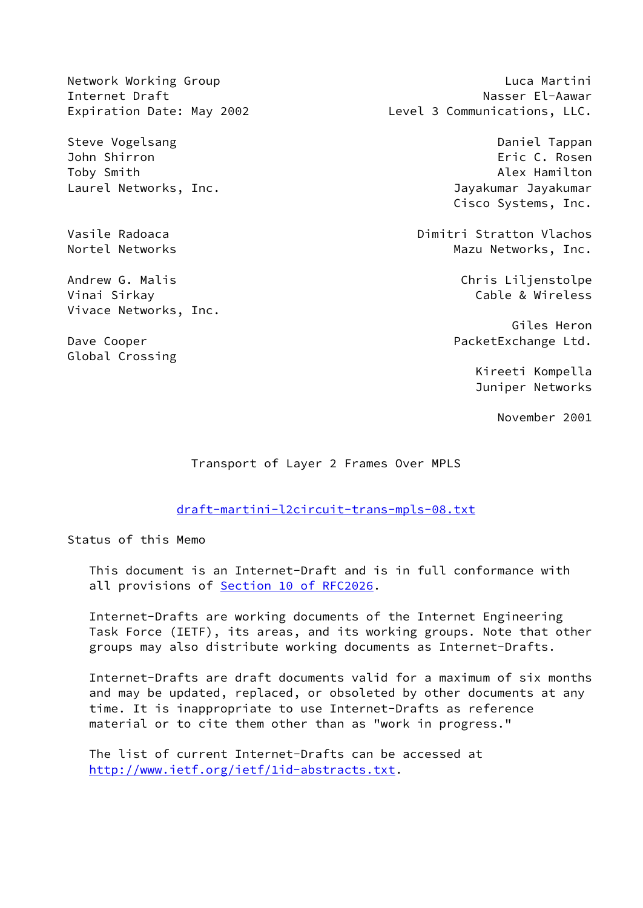Steve Vogelsang Daniel Tappan John Shirron Eric C. Rosen Toby Smith Alex Hamilton Laurel Networks, Inc. **Inc.** The state of the University of Tayakumar Jayakumar

Vinai Sirkay Cable & Wireless Vivace Networks, Inc.

Global Crossing

Network Working Group **Luca Martini** Internet Draft Nasser El-Aawar Expiration Date: May 2002 Level 3 Communications, LLC.

Cisco Systems, Inc.

Vasile Radoaca Dimitri Stratton Vlachos Nortel Networks **Mazu Networks**, Inc.

Andrew G. Malis **Andrew G. Malis** Chris Liljenstolpe

 Giles Heron Dave Cooper **PacketExchange Ltd.** 

> Kireeti Kompella Juniper Networks

> > November 2001

Transport of Layer 2 Frames Over MPLS

[draft-martini-l2circuit-trans-mpls-08.txt](https://datatracker.ietf.org/doc/pdf/draft-martini-l2circuit-trans-mpls-08.txt)

Status of this Memo

 This document is an Internet-Draft and is in full conformance with all provisions of Section [10 of RFC2026.](https://datatracker.ietf.org/doc/pdf/rfc2026#section-10)

 Internet-Drafts are working documents of the Internet Engineering Task Force (IETF), its areas, and its working groups. Note that other groups may also distribute working documents as Internet-Drafts.

 Internet-Drafts are draft documents valid for a maximum of six months and may be updated, replaced, or obsoleted by other documents at any time. It is inappropriate to use Internet-Drafts as reference material or to cite them other than as "work in progress."

 The list of current Internet-Drafts can be accessed at <http://www.ietf.org/ietf/1id-abstracts.txt>.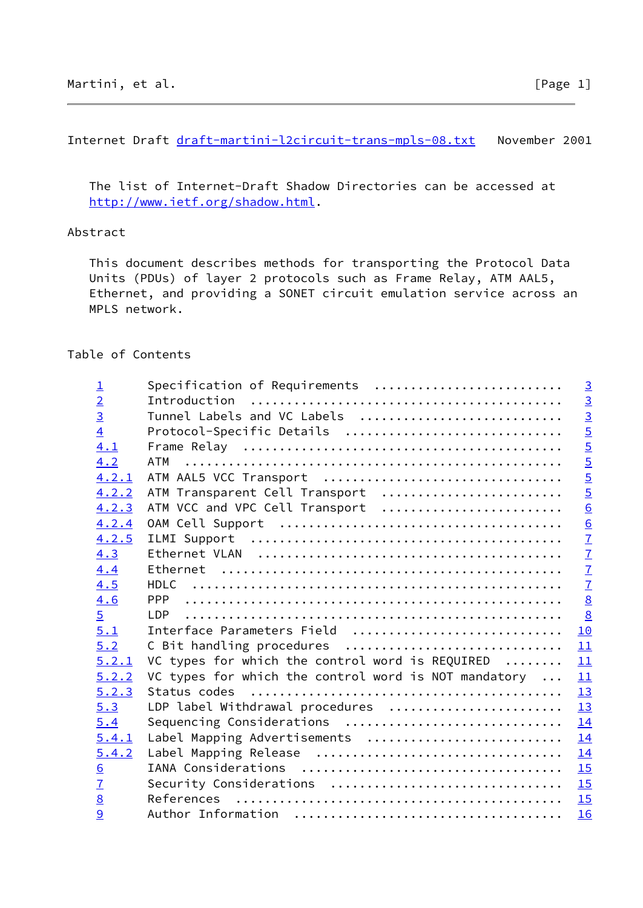Internet Draft [draft-martini-l2circuit-trans-mpls-08.txt](https://datatracker.ietf.org/doc/pdf/draft-martini-l2circuit-trans-mpls-08.txt) November 2001

 The list of Internet-Draft Shadow Directories can be accessed at <http://www.ietf.org/shadow.html>.

# Abstract

 This document describes methods for transporting the Protocol Data Units (PDUs) of layer 2 protocols such as Frame Relay, ATM AAL5, Ethernet, and providing a SONET circuit emulation service across an MPLS network.

## Table of Contents

| $\overline{1}$   | Specification of Requirements                        | $\overline{3}$                            |
|------------------|------------------------------------------------------|-------------------------------------------|
| $\overline{2}$   |                                                      |                                           |
| $\overline{3}$   | Tunnel Labels and VC Labels                          | $\frac{3}{3}$                             |
| $\overline{4}$   | Protocol-Specific Details                            | $\frac{5}{5}$                             |
| 4.1              |                                                      |                                           |
| 4.2              | ATM                                                  | $\frac{5}{5}$                             |
| 4.2.1            | ATM AAL5 VCC Transport                               |                                           |
| 4.2.2            | ATM Transparent Cell Transport                       |                                           |
| 4.2.3            | ATM VCC and VPC Cell Transport                       | $\overline{6}$                            |
| 4.2.4            |                                                      |                                           |
| 4.2.5            |                                                      | $\frac{6}{7}$ $\frac{7}{7}$ $\frac{7}{7}$ |
| 4.3              |                                                      |                                           |
| 4.4              |                                                      |                                           |
| 4.5              |                                                      |                                           |
| 4.6              | <b>PPP</b>                                           | $\underline{8}$                           |
| $\overline{5}$   | LDP.                                                 | $\underline{8}$                           |
| 5.1              | Interface Parameters Field                           | 10                                        |
| 5.2              | C Bit handling procedures                            | 11                                        |
| 5.2.1            | VC types for which the control word is REQUIRED      | 11                                        |
| 5.2.2            | VC types for which the control word is NOT mandatory | 11                                        |
| 5.2.3            |                                                      | 13                                        |
| 5.3              | LDP label Withdrawal procedures                      | 13                                        |
| 5.4              | Sequencing Considerations                            | 14                                        |
| 5.4.1            | Label Mapping Advertisements                         | 14                                        |
| 5.4.2            |                                                      | 14                                        |
| $6 \overline{6}$ |                                                      | 15                                        |
| $\overline{1}$   | Security Considerations                              | 15                                        |
| $\underline{8}$  |                                                      | 15                                        |
| 9                |                                                      | 16                                        |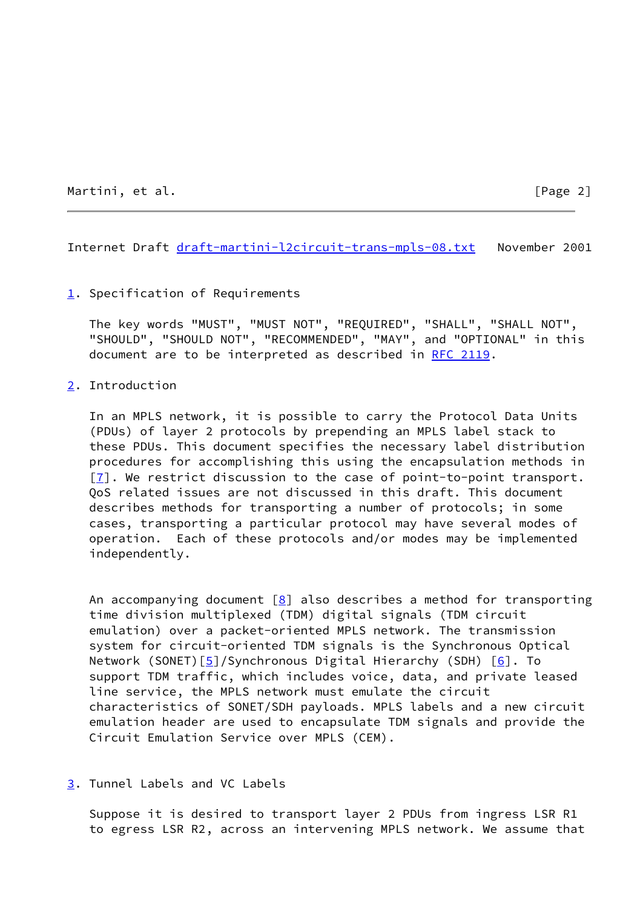Martini, et al. [Page 2]

<span id="page-2-1"></span>Internet Draft [draft-martini-l2circuit-trans-mpls-08.txt](https://datatracker.ietf.org/doc/pdf/draft-martini-l2circuit-trans-mpls-08.txt) November 2001

### <span id="page-2-0"></span>[1](#page-2-0). Specification of Requirements

 The key words "MUST", "MUST NOT", "REQUIRED", "SHALL", "SHALL NOT", "SHOULD", "SHOULD NOT", "RECOMMENDED", "MAY", and "OPTIONAL" in this document are to be interpreted as described in [RFC 2119.](https://datatracker.ietf.org/doc/pdf/rfc2119)

#### <span id="page-2-2"></span>[2](#page-2-2). Introduction

 In an MPLS network, it is possible to carry the Protocol Data Units (PDUs) of layer 2 protocols by prepending an MPLS label stack to these PDUs. This document specifies the necessary label distribution procedures for accomplishing this using the encapsulation methods in [\[7](#page-16-2)]. We restrict discussion to the case of point-to-point transport. QoS related issues are not discussed in this draft. This document describes methods for transporting a number of protocols; in some cases, transporting a particular protocol may have several modes of operation. Each of these protocols and/or modes may be implemented independently.

An accompanying document  $[8]$  also describes a method for transporting time division multiplexed (TDM) digital signals (TDM circuit emulation) over a packet-oriented MPLS network. The transmission system for circuit-oriented TDM signals is the Synchronous Optical Network (SONET) $[5]$  $[5]$ /Synchronous Digital Hierarchy (SDH)  $[6]$  $[6]$ . To support TDM traffic, which includes voice, data, and private leased line service, the MPLS network must emulate the circuit characteristics of SONET/SDH payloads. MPLS labels and a new circuit emulation header are used to encapsulate TDM signals and provide the Circuit Emulation Service over MPLS (CEM).

#### <span id="page-2-3"></span>[3](#page-2-3). Tunnel Labels and VC Labels

 Suppose it is desired to transport layer 2 PDUs from ingress LSR R1 to egress LSR R2, across an intervening MPLS network. We assume that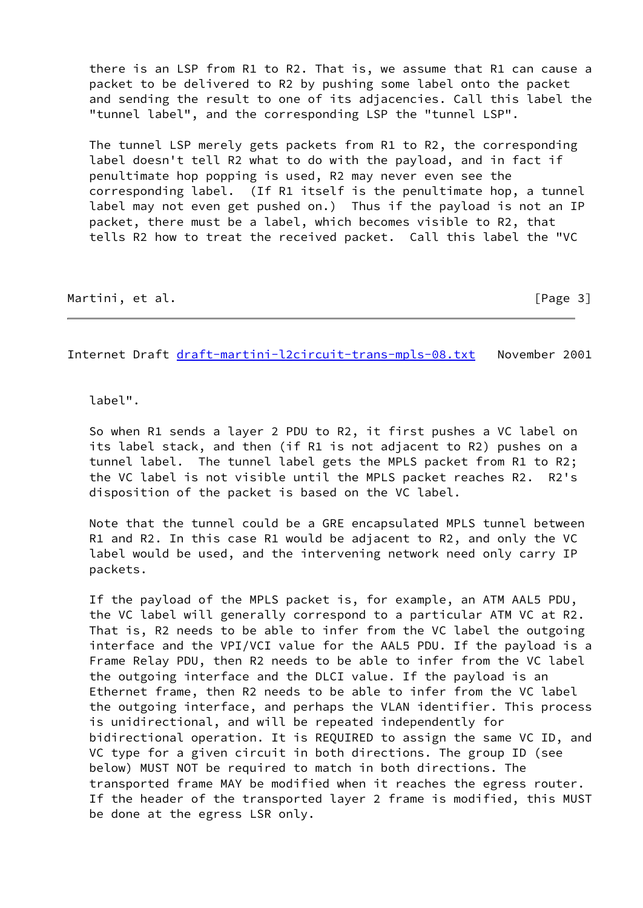there is an LSP from R1 to R2. That is, we assume that R1 can cause a packet to be delivered to R2 by pushing some label onto the packet and sending the result to one of its adjacencies. Call this label the "tunnel label", and the corresponding LSP the "tunnel LSP".

 The tunnel LSP merely gets packets from R1 to R2, the corresponding label doesn't tell R2 what to do with the payload, and in fact if penultimate hop popping is used, R2 may never even see the corresponding label. (If R1 itself is the penultimate hop, a tunnel label may not even get pushed on.) Thus if the payload is not an IP packet, there must be a label, which becomes visible to R2, that tells R2 how to treat the received packet. Call this label the "VC

Martini, et al. [Page 3]

Internet Draft [draft-martini-l2circuit-trans-mpls-08.txt](https://datatracker.ietf.org/doc/pdf/draft-martini-l2circuit-trans-mpls-08.txt) November 2001

label".

 So when R1 sends a layer 2 PDU to R2, it first pushes a VC label on its label stack, and then (if R1 is not adjacent to R2) pushes on a tunnel label. The tunnel label gets the MPLS packet from R1 to R2; the VC label is not visible until the MPLS packet reaches R2. R2's disposition of the packet is based on the VC label.

 Note that the tunnel could be a GRE encapsulated MPLS tunnel between R1 and R2. In this case R1 would be adjacent to R2, and only the VC label would be used, and the intervening network need only carry IP packets.

 If the payload of the MPLS packet is, for example, an ATM AAL5 PDU, the VC label will generally correspond to a particular ATM VC at R2. That is, R2 needs to be able to infer from the VC label the outgoing interface and the VPI/VCI value for the AAL5 PDU. If the payload is a Frame Relay PDU, then R2 needs to be able to infer from the VC label the outgoing interface and the DLCI value. If the payload is an Ethernet frame, then R2 needs to be able to infer from the VC label the outgoing interface, and perhaps the VLAN identifier. This process is unidirectional, and will be repeated independently for bidirectional operation. It is REQUIRED to assign the same VC ID, and VC type for a given circuit in both directions. The group ID (see below) MUST NOT be required to match in both directions. The transported frame MAY be modified when it reaches the egress router. If the header of the transported layer 2 frame is modified, this MUST be done at the egress LSR only.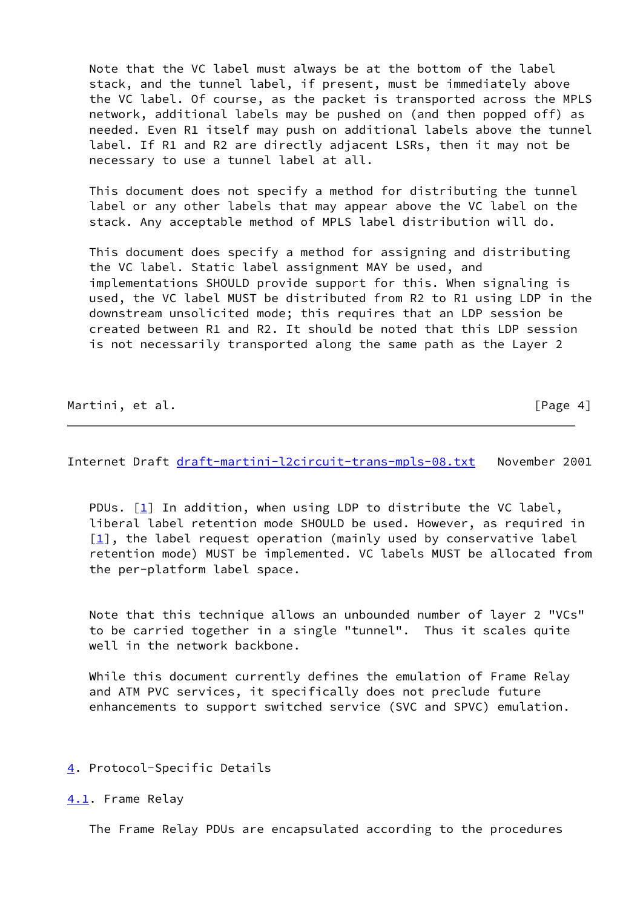Note that the VC label must always be at the bottom of the label stack, and the tunnel label, if present, must be immediately above the VC label. Of course, as the packet is transported across the MPLS network, additional labels may be pushed on (and then popped off) as needed. Even R1 itself may push on additional labels above the tunnel label. If R1 and R2 are directly adjacent LSRs, then it may not be necessary to use a tunnel label at all.

 This document does not specify a method for distributing the tunnel label or any other labels that may appear above the VC label on the stack. Any acceptable method of MPLS label distribution will do.

 This document does specify a method for assigning and distributing the VC label. Static label assignment MAY be used, and implementations SHOULD provide support for this. When signaling is used, the VC label MUST be distributed from R2 to R1 using LDP in the downstream unsolicited mode; this requires that an LDP session be created between R1 and R2. It should be noted that this LDP session is not necessarily transported along the same path as the Layer 2

Martini, et al. [Page 4]

<span id="page-4-1"></span>Internet Draft [draft-martini-l2circuit-trans-mpls-08.txt](https://datatracker.ietf.org/doc/pdf/draft-martini-l2circuit-trans-mpls-08.txt) November 2001

PDUs.  $[1]$  $[1]$  In addition, when using LDP to distribute the VC label, liberal label retention mode SHOULD be used. However, as required in  $[1]$  $[1]$ , the label request operation (mainly used by conservative label retention mode) MUST be implemented. VC labels MUST be allocated from the per-platform label space.

 Note that this technique allows an unbounded number of layer 2 "VCs" to be carried together in a single "tunnel". Thus it scales quite well in the network backbone.

 While this document currently defines the emulation of Frame Relay and ATM PVC services, it specifically does not preclude future enhancements to support switched service (SVC and SPVC) emulation.

### <span id="page-4-0"></span>[4](#page-4-0). Protocol-Specific Details

<span id="page-4-2"></span>[4.1](#page-4-2). Frame Relay

The Frame Relay PDUs are encapsulated according to the procedures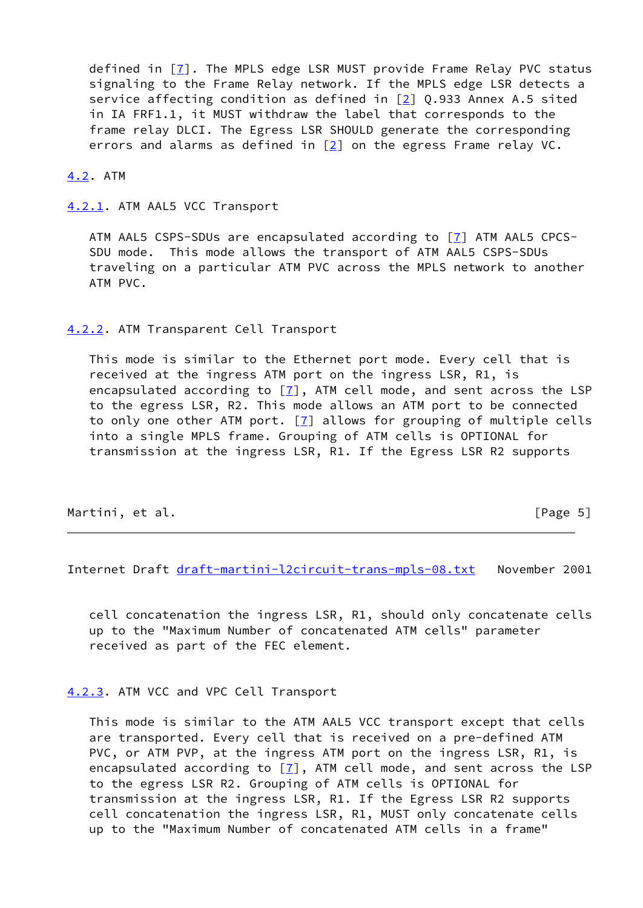defined in [[7\]](#page-16-2). The MPLS edge LSR MUST provide Frame Relay PVC status signaling to the Frame Relay network. If the MPLS edge LSR detects a service affecting condition as defined in [[2\]](#page-16-6) Q.933 Annex A.5 sited in IA FRF1.1, it MUST withdraw the label that corresponds to the frame relay DLCI. The Egress LSR SHOULD generate the corresponding errors and alarms as defined in  $[2]$  $[2]$  on the egress Frame relay VC.

<span id="page-5-0"></span>[4.2](#page-5-0). ATM

<span id="page-5-1"></span>[4.2.1](#page-5-1). ATM AAL5 VCC Transport

 ATM AAL5 CSPS-SDUs are encapsulated according to [\[7\]](#page-16-2) ATM AAL5 CPCS- SDU mode. This mode allows the transport of ATM AAL5 CSPS-SDUs traveling on a particular ATM PVC across the MPLS network to another ATM PVC.

<span id="page-5-2"></span>[4.2.2](#page-5-2). ATM Transparent Cell Transport

 This mode is similar to the Ethernet port mode. Every cell that is received at the ingress ATM port on the ingress LSR, R1, is encapsulated according to  $\boxed{7}$ , ATM cell mode, and sent across the LSP to the egress LSR, R2. This mode allows an ATM port to be connected to only one other ATM port.  $[7]$  $[7]$  allows for grouping of multiple cells into a single MPLS frame. Grouping of ATM cells is OPTIONAL for transmission at the ingress LSR, R1. If the Egress LSR R2 supports

| Martini, et al. | [Page $5$ ] |
|-----------------|-------------|
|                 |             |

<span id="page-5-4"></span>Internet Draft [draft-martini-l2circuit-trans-mpls-08.txt](https://datatracker.ietf.org/doc/pdf/draft-martini-l2circuit-trans-mpls-08.txt) November 2001

 cell concatenation the ingress LSR, R1, should only concatenate cells up to the "Maximum Number of concatenated ATM cells" parameter received as part of the FEC element.

<span id="page-5-3"></span>[4.2.3](#page-5-3). ATM VCC and VPC Cell Transport

 This mode is similar to the ATM AAL5 VCC transport except that cells are transported. Every cell that is received on a pre-defined ATM PVC, or ATM PVP, at the ingress ATM port on the ingress LSR, R1, is encapsulated according to  $\boxed{7}$ , ATM cell mode, and sent across the LSP to the egress LSR R2. Grouping of ATM cells is OPTIONAL for transmission at the ingress LSR, R1. If the Egress LSR R2 supports cell concatenation the ingress LSR, R1, MUST only concatenate cells up to the "Maximum Number of concatenated ATM cells in a frame"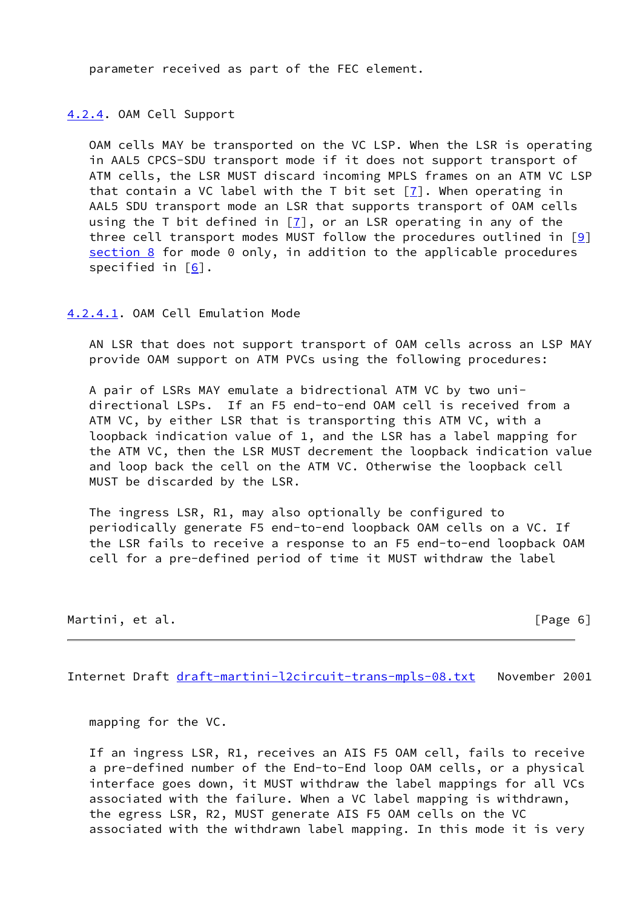parameter received as part of the FEC element.

<span id="page-6-0"></span>[4.2.4](#page-6-0). OAM Cell Support

 OAM cells MAY be transported on the VC LSP. When the LSR is operating in AAL5 CPCS-SDU transport mode if it does not support transport of ATM cells, the LSR MUST discard incoming MPLS frames on an ATM VC LSP that contain a VC label with the T bit set  $[7]$  $[7]$ . When operating in AAL5 SDU transport mode an LSR that supports transport of OAM cells using the T bit defined in  $[7]$  $[7]$ , or an LSR operating in any of the three cell transport modes MUST follow the procedures outlined in  $[9]$  $[9]$ [section 8](#page-16-1) for mode 0 only, in addition to the applicable procedures specified in  $[6]$ .

<span id="page-6-2"></span>[4.2.4.1](#page-6-2). OAM Cell Emulation Mode

 AN LSR that does not support transport of OAM cells across an LSP MAY provide OAM support on ATM PVCs using the following procedures:

 A pair of LSRs MAY emulate a bidrectional ATM VC by two uni directional LSPs. If an F5 end-to-end OAM cell is received from a ATM VC, by either LSR that is transporting this ATM VC, with a loopback indication value of 1, and the LSR has a label mapping for the ATM VC, then the LSR MUST decrement the loopback indication value and loop back the cell on the ATM VC. Otherwise the loopback cell MUST be discarded by the LSR.

 The ingress LSR, R1, may also optionally be configured to periodically generate F5 end-to-end loopback OAM cells on a VC. If the LSR fails to receive a response to an F5 end-to-end loopback OAM cell for a pre-defined period of time it MUST withdraw the label

| Martini, |  | et al. |
|----------|--|--------|
|          |  |        |

 $[Page 6]$ 

<span id="page-6-1"></span>Internet Draft [draft-martini-l2circuit-trans-mpls-08.txt](https://datatracker.ietf.org/doc/pdf/draft-martini-l2circuit-trans-mpls-08.txt) November 2001

mapping for the VC.

 If an ingress LSR, R1, receives an AIS F5 OAM cell, fails to receive a pre-defined number of the End-to-End loop OAM cells, or a physical interface goes down, it MUST withdraw the label mappings for all VCs associated with the failure. When a VC label mapping is withdrawn, the egress LSR, R2, MUST generate AIS F5 OAM cells on the VC associated with the withdrawn label mapping. In this mode it is very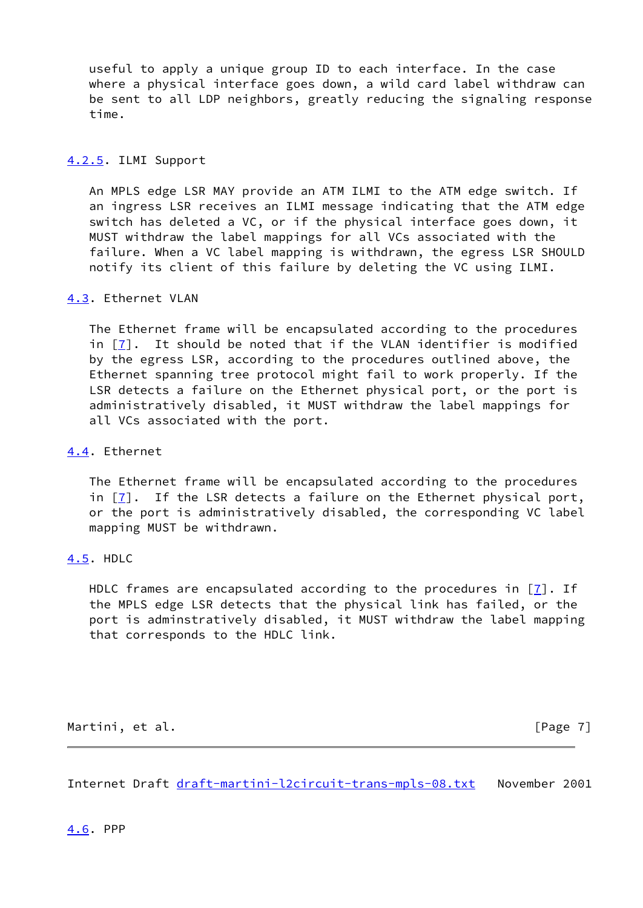useful to apply a unique group ID to each interface. In the case where a physical interface goes down, a wild card label withdraw can be sent to all LDP neighbors, greatly reducing the signaling response time.

### <span id="page-7-0"></span>[4.2.5](#page-7-0). ILMI Support

 An MPLS edge LSR MAY provide an ATM ILMI to the ATM edge switch. If an ingress LSR receives an ILMI message indicating that the ATM edge switch has deleted a VC, or if the physical interface goes down, it MUST withdraw the label mappings for all VCs associated with the failure. When a VC label mapping is withdrawn, the egress LSR SHOULD notify its client of this failure by deleting the VC using ILMI.

## <span id="page-7-1"></span>[4.3](#page-7-1). Ethernet VLAN

 The Ethernet frame will be encapsulated according to the procedures in [[7\]](#page-16-2). It should be noted that if the VLAN identifier is modified by the egress LSR, according to the procedures outlined above, the Ethernet spanning tree protocol might fail to work properly. If the LSR detects a failure on the Ethernet physical port, or the port is administratively disabled, it MUST withdraw the label mappings for all VCs associated with the port.

### <span id="page-7-2"></span>[4.4](#page-7-2). Ethernet

 The Ethernet frame will be encapsulated according to the procedures in [[7\]](#page-16-2). If the LSR detects a failure on the Ethernet physical port, or the port is administratively disabled, the corresponding VC label mapping MUST be withdrawn.

### <span id="page-7-3"></span>[4.5](#page-7-3). HDLC

HDLC frames are encapsulated according to the procedures in [\[7](#page-16-2)]. If the MPLS edge LSR detects that the physical link has failed, or the port is adminstratively disabled, it MUST withdraw the label mapping that corresponds to the HDLC link.

Martini, et al. [Page 7]

<span id="page-7-5"></span><span id="page-7-4"></span>Internet Draft [draft-martini-l2circuit-trans-mpls-08.txt](https://datatracker.ietf.org/doc/pdf/draft-martini-l2circuit-trans-mpls-08.txt) November 2001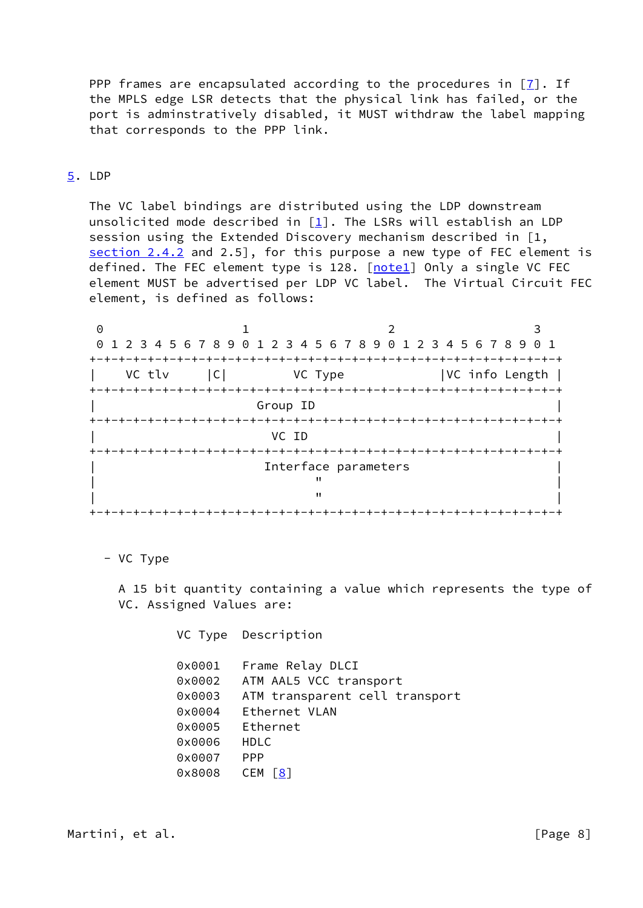PPP frames are encapsulated according to the procedures in  $[7]$  $[7]$ . If the MPLS edge LSR detects that the physical link has failed, or the port is adminstratively disabled, it MUST withdraw the label mapping that corresponds to the PPP link.

### <span id="page-8-0"></span>[5](#page-8-0). LDP

 The VC label bindings are distributed using the LDP downstream unsolicited mode described in  $\lceil \frac{1}{2} \rceil$ . The LSRs will establish an LDP session using the Extended Discovery mechanism described in [1, section 2.4.2 and 2.5], for this purpose a new type of FEC element is defined. The FEC element type is 128. [notel] Only a single VC FEC element MUST be advertised per LDP VC label. The Virtual Circuit FEC element, is defined as follows:

|                      | 0 1 2 3 4 5 6 7 8 9 0 1 2 3 4 5 6 7 8 9 0 1 2 3 4 5 6 7 8 9 0 1 |   |  |                |  |
|----------------------|-----------------------------------------------------------------|---|--|----------------|--|
|                      |                                                                 |   |  |                |  |
|                      | VC tlv   C  VC Type                                             |   |  | VC info Length |  |
|                      |                                                                 |   |  |                |  |
|                      | Group ID                                                        |   |  |                |  |
|                      |                                                                 |   |  |                |  |
|                      | VC ID                                                           |   |  |                |  |
|                      |                                                                 |   |  |                |  |
| Interface parameters |                                                                 |   |  |                |  |
|                      |                                                                 |   |  |                |  |
|                      |                                                                 | " |  |                |  |
|                      | -+-+-+-+-+-+-+-+-+-+-+-+-+-+                                    |   |  |                |  |

- VC Type

 A 15 bit quantity containing a value which represents the type of VC. Assigned Values are:

VC Type Description

| $0 \times 0001$ | Frame Relay DLCI                      |
|-----------------|---------------------------------------|
|                 | 0x0002 ATM AAL5 VCC transport         |
|                 | 0x0003 ATM transparent cell transport |
| 0x0004          | Ethernet VLAN                         |
|                 | 0x0005 Ethernet                       |
| 0x0006          | <b>HDLC</b>                           |
| 0x0007          | <b>PPP</b>                            |
| 0x8008          | CEM<br> 8                             |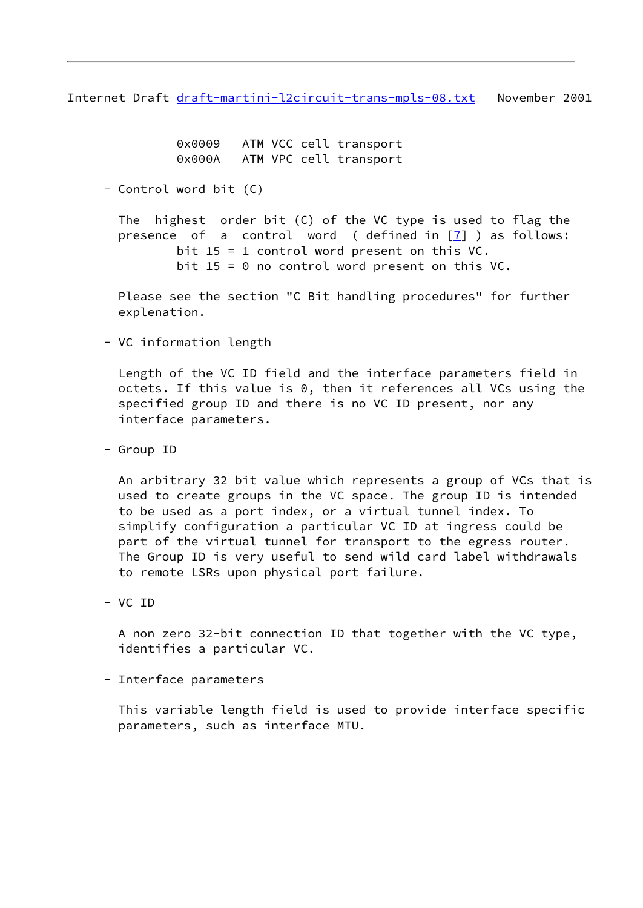Internet Draft [draft-martini-l2circuit-trans-mpls-08.txt](https://datatracker.ietf.org/doc/pdf/draft-martini-l2circuit-trans-mpls-08.txt) November 2001

 0x0009 ATM VCC cell transport 0x000A ATM VPC cell transport

- Control word bit (C)

 The highest order bit (C) of the VC type is used to flag the presence of a control word ( defined in  $\boxed{7}$  ) as follows: bit 15 = 1 control word present on this VC. bit  $15 = 0$  no control word present on this VC.

 Please see the section "C Bit handling procedures" for further explenation.

- VC information length

 Length of the VC ID field and the interface parameters field in octets. If this value is 0, then it references all VCs using the specified group ID and there is no VC ID present, nor any interface parameters.

- Group ID

 An arbitrary 32 bit value which represents a group of VCs that is used to create groups in the VC space. The group ID is intended to be used as a port index, or a virtual tunnel index. To simplify configuration a particular VC ID at ingress could be part of the virtual tunnel for transport to the egress router. The Group ID is very useful to send wild card label withdrawals to remote LSRs upon physical port failure.

- VC ID

 A non zero 32-bit connection ID that together with the VC type, identifies a particular VC.

- Interface parameters

 This variable length field is used to provide interface specific parameters, such as interface MTU.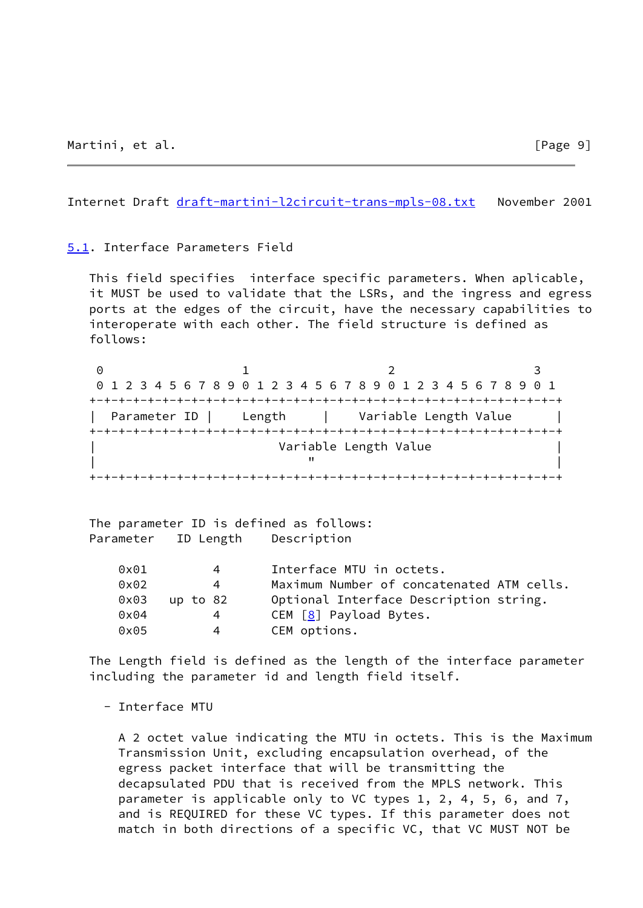<span id="page-10-1"></span>Internet Draft [draft-martini-l2circuit-trans-mpls-08.txt](https://datatracker.ietf.org/doc/pdf/draft-martini-l2circuit-trans-mpls-08.txt) November 2001

<span id="page-10-0"></span>[5.1](#page-10-0). Interface Parameters Field

 This field specifies interface specific parameters. When aplicable, it MUST be used to validate that the LSRs, and the ingress and egress ports at the edges of the circuit, have the necessary capabilities to interoperate with each other. The field structure is defined as follows:

|  | 0 1 2 3 4 5 6 7 8 9 0 1 2 3 4 5 6 7 8 9 0 1 2 3 4 5 6 7 8 9 0 1 |  |
|--|-----------------------------------------------------------------|--|
|  |                                                                 |  |
|  | Parameter ID   Length   Variable Length Value                   |  |
|  |                                                                 |  |
|  | Variable Length Value                                           |  |
|  |                                                                 |  |
|  |                                                                 |  |

 The parameter ID is defined as follows: Parameter ID Length Description

| 0x01          | 4        | Interface MTU in octets.                  |
|---------------|----------|-------------------------------------------|
| $0 \times 02$ | 4        | Maximum Number of concatenated ATM cells. |
| 0x03          | up to 82 | Optional Interface Description string.    |
| $0 \times 04$ | 4        | CEM $[8]$ Payload Bytes.                  |
| $0 \times 05$ | 4        | CEM options.                              |

 The Length field is defined as the length of the interface parameter including the parameter id and length field itself.

- Interface MTU

 A 2 octet value indicating the MTU in octets. This is the Maximum Transmission Unit, excluding encapsulation overhead, of the egress packet interface that will be transmitting the decapsulated PDU that is received from the MPLS network. This parameter is applicable only to VC types 1, 2, 4, 5, 6, and 7, and is REQUIRED for these VC types. If this parameter does not match in both directions of a specific VC, that VC MUST NOT be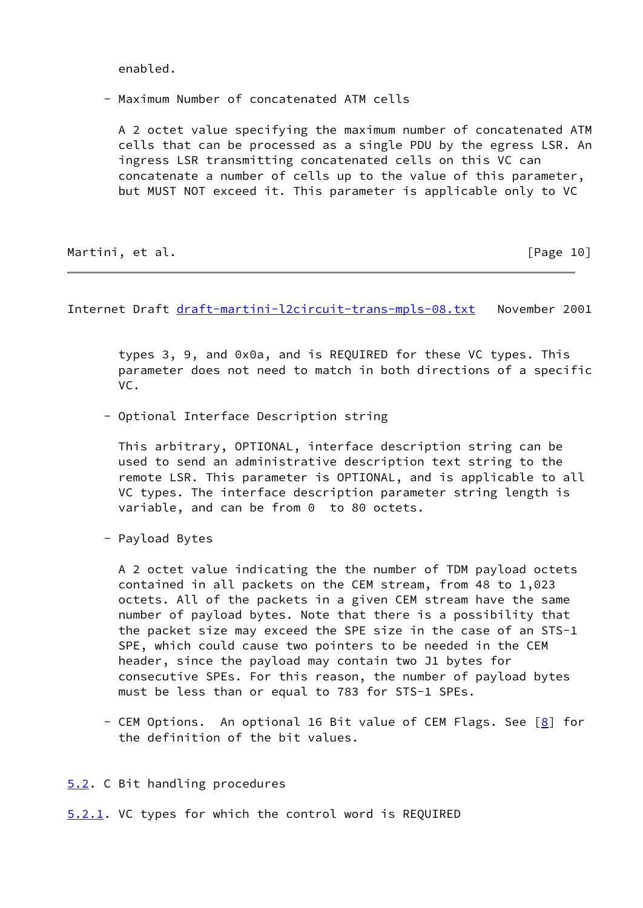enabled.

- Maximum Number of concatenated ATM cells

 A 2 octet value specifying the maximum number of concatenated ATM cells that can be processed as a single PDU by the egress LSR. An ingress LSR transmitting concatenated cells on this VC can concatenate a number of cells up to the value of this parameter, but MUST NOT exceed it. This parameter is applicable only to VC

Martini, et al. [Page 10]

<span id="page-11-1"></span>Internet Draft [draft-martini-l2circuit-trans-mpls-08.txt](https://datatracker.ietf.org/doc/pdf/draft-martini-l2circuit-trans-mpls-08.txt) November 2001

 types 3, 9, and 0x0a, and is REQUIRED for these VC types. This parameter does not need to match in both directions of a specific VC.

- Optional Interface Description string

 This arbitrary, OPTIONAL, interface description string can be used to send an administrative description text string to the remote LSR. This parameter is OPTIONAL, and is applicable to all VC types. The interface description parameter string length is variable, and can be from 0 to 80 octets.

- Payload Bytes

 A 2 octet value indicating the the number of TDM payload octets contained in all packets on the CEM stream, from 48 to 1,023 octets. All of the packets in a given CEM stream have the same number of payload bytes. Note that there is a possibility that the packet size may exceed the SPE size in the case of an STS-1 SPE, which could cause two pointers to be needed in the CEM header, since the payload may contain two J1 bytes for consecutive SPEs. For this reason, the number of payload bytes must be less than or equal to 783 for STS-1 SPEs.

- CEM Options. An optional 16 Bit value of CEM Flags. See [\[8\]](#page-17-2) for the definition of the bit values.
- <span id="page-11-0"></span>[5.2](#page-11-0). C Bit handling procedures

<span id="page-11-2"></span>[5.2.1](#page-11-2). VC types for which the control word is REQUIRED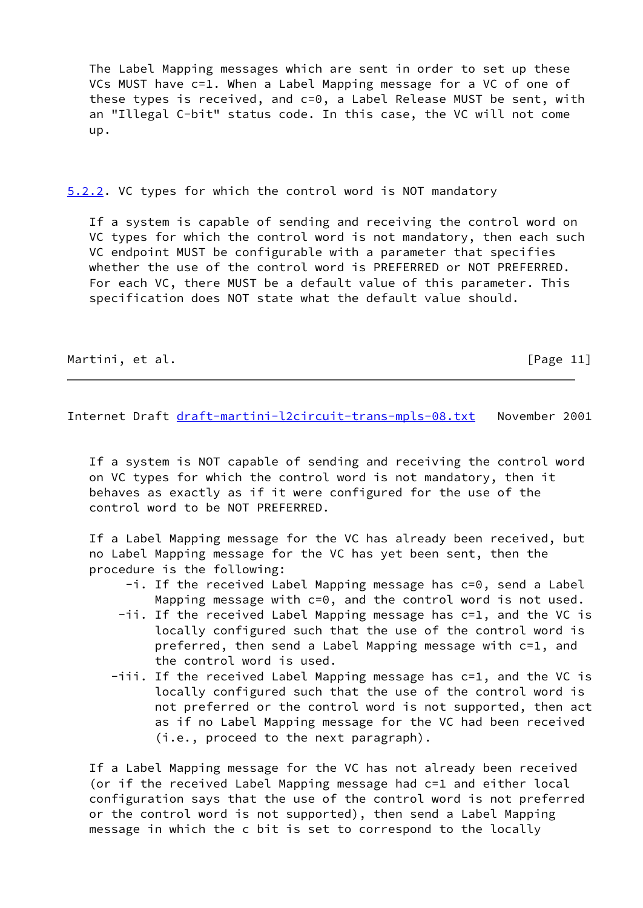The Label Mapping messages which are sent in order to set up these VCs MUST have c=1. When a Label Mapping message for a VC of one of these types is received, and c=0, a Label Release MUST be sent, with an "Illegal C-bit" status code. In this case, the VC will not come up.

<span id="page-12-0"></span>[5.2.2](#page-12-0). VC types for which the control word is NOT mandatory

 If a system is capable of sending and receiving the control word on VC types for which the control word is not mandatory, then each such VC endpoint MUST be configurable with a parameter that specifies whether the use of the control word is PREFERRED or NOT PREFERRED. For each VC, there MUST be a default value of this parameter. This specification does NOT state what the default value should.

Martini, et al. [Page 11]

Internet Draft [draft-martini-l2circuit-trans-mpls-08.txt](https://datatracker.ietf.org/doc/pdf/draft-martini-l2circuit-trans-mpls-08.txt) November 2001

 If a system is NOT capable of sending and receiving the control word on VC types for which the control word is not mandatory, then it behaves as exactly as if it were configured for the use of the control word to be NOT PREFERRED.

 If a Label Mapping message for the VC has already been received, but no Label Mapping message for the VC has yet been sent, then the procedure is the following:

- -i. If the received Label Mapping message has c=0, send a Label Mapping message with c=0, and the control word is not used.
- -ii. If the received Label Mapping message has c=1, and the VC is locally configured such that the use of the control word is preferred, then send a Label Mapping message with c=1, and the control word is used.
- -iii. If the received Label Mapping message has c=1, and the VC is locally configured such that the use of the control word is not preferred or the control word is not supported, then act as if no Label Mapping message for the VC had been received (i.e., proceed to the next paragraph).

 If a Label Mapping message for the VC has not already been received (or if the received Label Mapping message had c=1 and either local configuration says that the use of the control word is not preferred or the control word is not supported), then send a Label Mapping message in which the c bit is set to correspond to the locally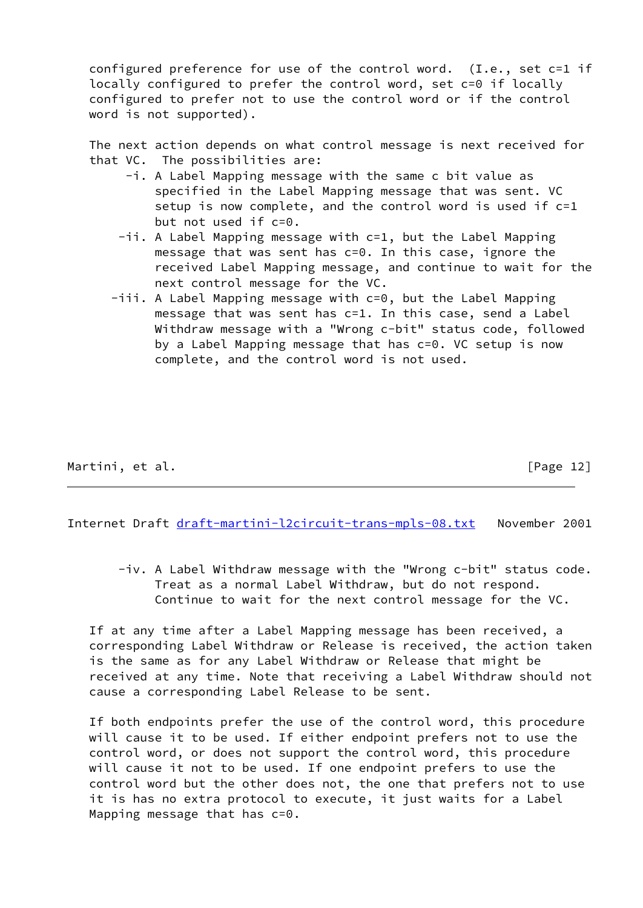configured preference for use of the control word. (I.e., set c=1 if locally configured to prefer the control word, set c=0 if locally configured to prefer not to use the control word or if the control word is not supported).

 The next action depends on what control message is next received for that VC. The possibilities are:

- -i. A Label Mapping message with the same c bit value as specified in the Label Mapping message that was sent. VC setup is now complete, and the control word is used if c=1 but not used if c=0.
- -ii. A Label Mapping message with c=1, but the Label Mapping message that was sent has c=0. In this case, ignore the received Label Mapping message, and continue to wait for the next control message for the VC.
- -iii. A Label Mapping message with c=0, but the Label Mapping message that was sent has c=1. In this case, send a Label Withdraw message with a "Wrong c-bit" status code, followed by a Label Mapping message that has c=0. VC setup is now complete, and the control word is not used.

Martini, et al. [Page 12]

<span id="page-13-0"></span>Internet Draft [draft-martini-l2circuit-trans-mpls-08.txt](https://datatracker.ietf.org/doc/pdf/draft-martini-l2circuit-trans-mpls-08.txt) November 2001

 -iv. A Label Withdraw message with the "Wrong c-bit" status code. Treat as a normal Label Withdraw, but do not respond. Continue to wait for the next control message for the VC.

 If at any time after a Label Mapping message has been received, a corresponding Label Withdraw or Release is received, the action taken is the same as for any Label Withdraw or Release that might be received at any time. Note that receiving a Label Withdraw should not cause a corresponding Label Release to be sent.

 If both endpoints prefer the use of the control word, this procedure will cause it to be used. If either endpoint prefers not to use the control word, or does not support the control word, this procedure will cause it not to be used. If one endpoint prefers to use the control word but the other does not, the one that prefers not to use it is has no extra protocol to execute, it just waits for a Label Mapping message that has c=0.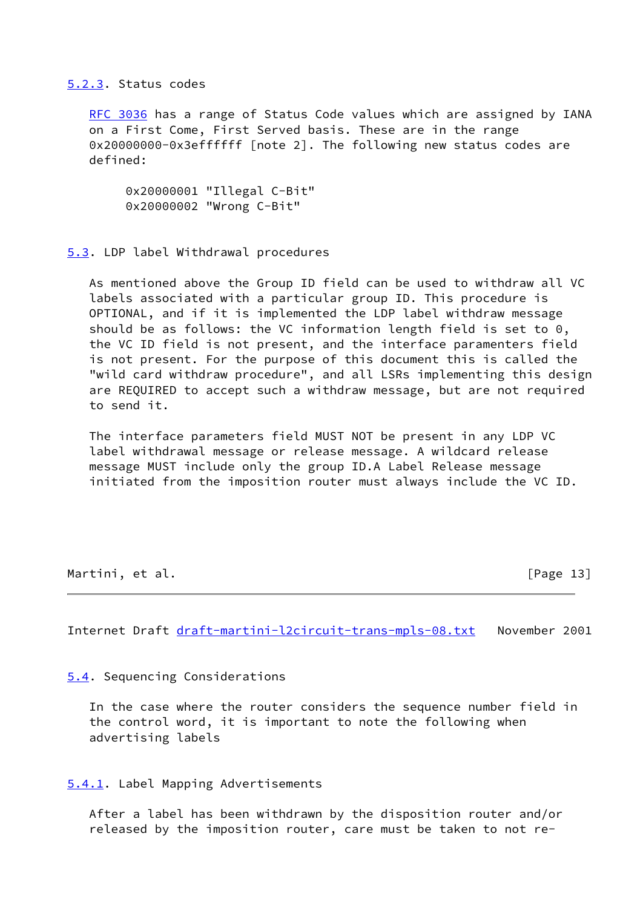#### <span id="page-14-0"></span>[5.2.3](#page-14-0). Status codes

[RFC 3036](https://datatracker.ietf.org/doc/pdf/rfc3036) has a range of Status Code values which are assigned by IANA on a First Come, First Served basis. These are in the range 0x20000000-0x3effffff [note 2]. The following new status codes are defined:

 0x20000001 "Illegal C-Bit" 0x20000002 "Wrong C-Bit"

### <span id="page-14-1"></span>[5.3](#page-14-1). LDP label Withdrawal procedures

 As mentioned above the Group ID field can be used to withdraw all VC labels associated with a particular group ID. This procedure is OPTIONAL, and if it is implemented the LDP label withdraw message should be as follows: the VC information length field is set to 0, the VC ID field is not present, and the interface paramenters field is not present. For the purpose of this document this is called the "wild card withdraw procedure", and all LSRs implementing this design are REQUIRED to accept such a withdraw message, but are not required to send it.

 The interface parameters field MUST NOT be present in any LDP VC label withdrawal message or release message. A wildcard release message MUST include only the group ID.A Label Release message initiated from the imposition router must always include the VC ID.

Martini, et al. [Page 13]

<span id="page-14-3"></span>Internet Draft [draft-martini-l2circuit-trans-mpls-08.txt](https://datatracker.ietf.org/doc/pdf/draft-martini-l2circuit-trans-mpls-08.txt) November 2001

<span id="page-14-2"></span>[5.4](#page-14-2). Sequencing Considerations

 In the case where the router considers the sequence number field in the control word, it is important to note the following when advertising labels

<span id="page-14-4"></span>[5.4.1](#page-14-4). Label Mapping Advertisements

 After a label has been withdrawn by the disposition router and/or released by the imposition router, care must be taken to not re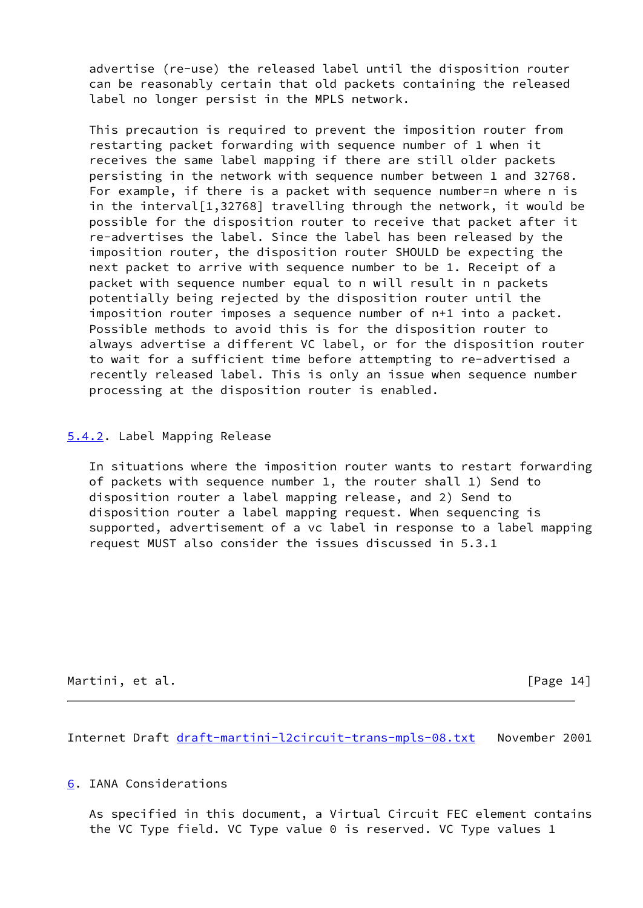advertise (re-use) the released label until the disposition router can be reasonably certain that old packets containing the released label no longer persist in the MPLS network.

 This precaution is required to prevent the imposition router from restarting packet forwarding with sequence number of 1 when it receives the same label mapping if there are still older packets persisting in the network with sequence number between 1 and 32768. For example, if there is a packet with sequence number=n where n is in the interval[1,32768] travelling through the network, it would be possible for the disposition router to receive that packet after it re-advertises the label. Since the label has been released by the imposition router, the disposition router SHOULD be expecting the next packet to arrive with sequence number to be 1. Receipt of a packet with sequence number equal to n will result in n packets potentially being rejected by the disposition router until the imposition router imposes a sequence number of n+1 into a packet. Possible methods to avoid this is for the disposition router to always advertise a different VC label, or for the disposition router to wait for a sufficient time before attempting to re-advertised a recently released label. This is only an issue when sequence number processing at the disposition router is enabled.

# <span id="page-15-0"></span>[5.4.2](#page-15-0). Label Mapping Release

 In situations where the imposition router wants to restart forwarding of packets with sequence number 1, the router shall 1) Send to disposition router a label mapping release, and 2) Send to disposition router a label mapping request. When sequencing is supported, advertisement of a vc label in response to a label mapping request MUST also consider the issues discussed in 5.3.1

Martini, et al. [Page 14]

<span id="page-15-2"></span>Internet Draft [draft-martini-l2circuit-trans-mpls-08.txt](https://datatracker.ietf.org/doc/pdf/draft-martini-l2circuit-trans-mpls-08.txt) November 2001

<span id="page-15-1"></span>[6](#page-15-1). IANA Considerations

 As specified in this document, a Virtual Circuit FEC element contains the VC Type field. VC Type value 0 is reserved. VC Type values 1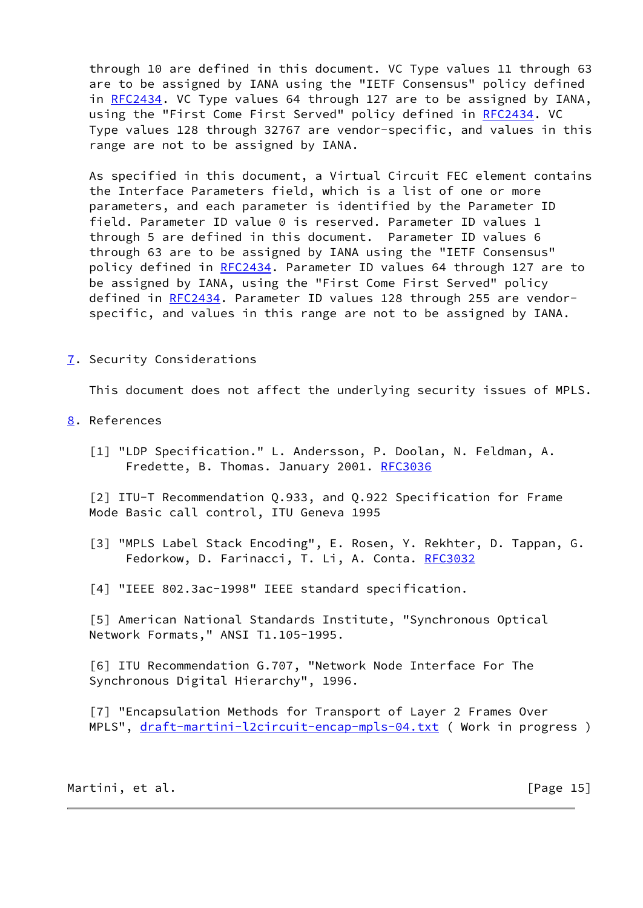through 10 are defined in this document. VC Type values 11 through 63 are to be assigned by IANA using the "IETF Consensus" policy defined in [RFC2434](https://datatracker.ietf.org/doc/pdf/rfc2434). VC Type values 64 through 127 are to be assigned by IANA, using the "First Come First Served" policy defined in [RFC2434](https://datatracker.ietf.org/doc/pdf/rfc2434). VC Type values 128 through 32767 are vendor-specific, and values in this range are not to be assigned by IANA.

 As specified in this document, a Virtual Circuit FEC element contains the Interface Parameters field, which is a list of one or more parameters, and each parameter is identified by the Parameter ID field. Parameter ID value 0 is reserved. Parameter ID values 1 through 5 are defined in this document. Parameter ID values 6 through 63 are to be assigned by IANA using the "IETF Consensus" policy defined in [RFC2434](https://datatracker.ietf.org/doc/pdf/rfc2434). Parameter ID values 64 through 127 are to be assigned by IANA, using the "First Come First Served" policy defined in [RFC2434](https://datatracker.ietf.org/doc/pdf/rfc2434). Parameter ID values 128 through 255 are vendor specific, and values in this range are not to be assigned by IANA.

<span id="page-16-0"></span>[7](#page-16-0). Security Considerations

This document does not affect the underlying security issues of MPLS.

- <span id="page-16-5"></span><span id="page-16-1"></span>[8](#page-16-1). References
	- [1] "LDP Specification." L. Andersson, P. Doolan, N. Feldman, A. Fredette, B. Thomas. January 2001. [RFC3036](https://datatracker.ietf.org/doc/pdf/rfc3036)

<span id="page-16-6"></span> [2] ITU-T Recommendation Q.933, and Q.922 Specification for Frame Mode Basic call control, ITU Geneva 1995

- [3] "MPLS Label Stack Encoding", E. Rosen, Y. Rekhter, D. Tappan, G. Fedorkow, D. Farinacci, T. Li, A. Conta. [RFC3032](https://datatracker.ietf.org/doc/pdf/rfc3032)
- [4] "IEEE 802.3ac-1998" IEEE standard specification.

<span id="page-16-3"></span> [5] American National Standards Institute, "Synchronous Optical Network Formats," ANSI T1.105-1995.

<span id="page-16-4"></span> [6] ITU Recommendation G.707, "Network Node Interface For The Synchronous Digital Hierarchy", 1996.

<span id="page-16-2"></span> [7] "Encapsulation Methods for Transport of Layer 2 Frames Over MPLS", [draft-martini-l2circuit-encap-mpls-04.txt](https://datatracker.ietf.org/doc/pdf/draft-martini-l2circuit-encap-mpls-04.txt) ( Work in progress )

Martini, et al. [Page 15]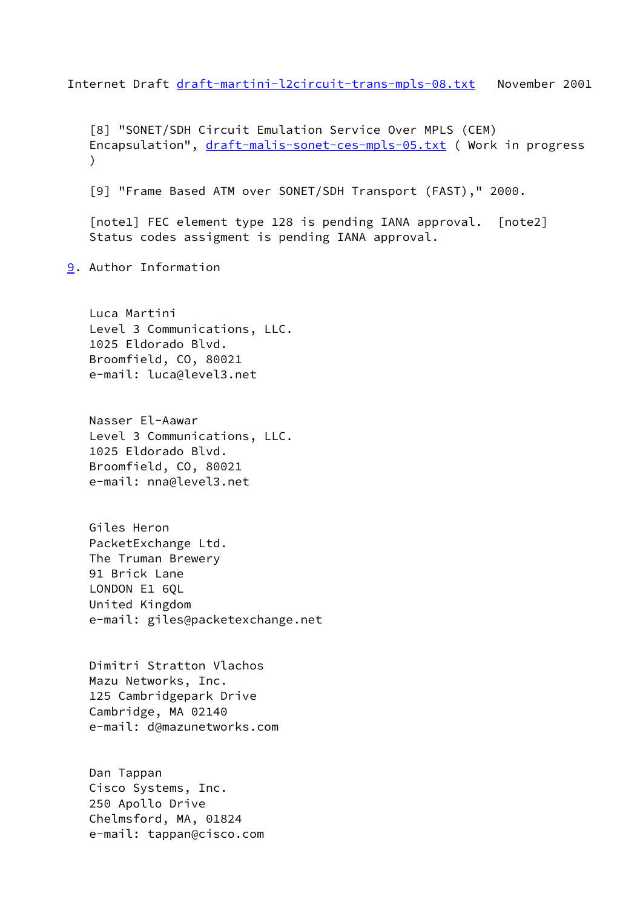<span id="page-17-1"></span>Internet Draft [draft-martini-l2circuit-trans-mpls-08.txt](https://datatracker.ietf.org/doc/pdf/draft-martini-l2circuit-trans-mpls-08.txt) November 2001

<span id="page-17-2"></span> [8] "SONET/SDH Circuit Emulation Service Over MPLS (CEM) Encapsulation", [draft-malis-sonet-ces-mpls-05.txt](https://datatracker.ietf.org/doc/pdf/draft-malis-sonet-ces-mpls-05.txt) ( Work in progress  $\lambda$ 

<span id="page-17-3"></span>[9] "Frame Based ATM over SONET/SDH Transport (FAST)," 2000.

<span id="page-17-4"></span> [note1] FEC element type 128 is pending IANA approval. [note2] Status codes assigment is pending IANA approval.

<span id="page-17-0"></span>[9](#page-17-0). Author Information

 Luca Martini Level 3 Communications, LLC. 1025 Eldorado Blvd. Broomfield, CO, 80021 e-mail: luca@level3.net

 Nasser El-Aawar Level 3 Communications, LLC. 1025 Eldorado Blvd. Broomfield, CO, 80021 e-mail: nna@level3.net

 Giles Heron PacketExchange Ltd. The Truman Brewery 91 Brick Lane LONDON E1 60L United Kingdom e-mail: giles@packetexchange.net

 Dimitri Stratton Vlachos Mazu Networks, Inc. 125 Cambridgepark Drive Cambridge, MA 02140 e-mail: d@mazunetworks.com

 Dan Tappan Cisco Systems, Inc. 250 Apollo Drive Chelmsford, MA, 01824 e-mail: tappan@cisco.com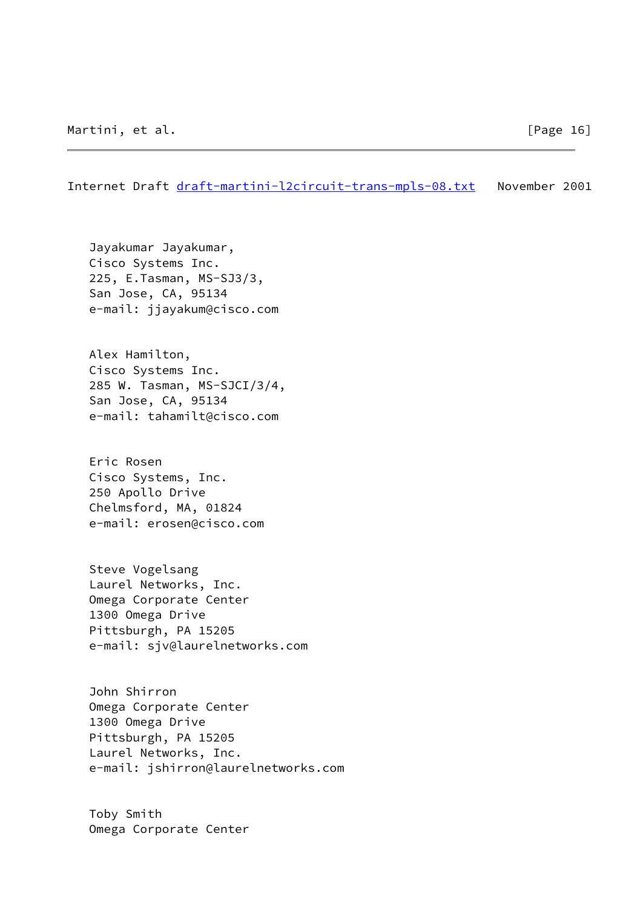Internet Draft [draft-martini-l2circuit-trans-mpls-08.txt](https://datatracker.ietf.org/doc/pdf/draft-martini-l2circuit-trans-mpls-08.txt) November 2001

 Jayakumar Jayakumar, Cisco Systems Inc. 225, E.Tasman, MS-SJ3/3, San Jose, CA, 95134 e-mail: jjayakum@cisco.com

 Alex Hamilton, Cisco Systems Inc. 285 W. Tasman, MS-SJCI/3/4, San Jose, CA, 95134 e-mail: tahamilt@cisco.com

 Eric Rosen Cisco Systems, Inc. 250 Apollo Drive Chelmsford, MA, 01824 e-mail: erosen@cisco.com

 Steve Vogelsang Laurel Networks, Inc. Omega Corporate Center 1300 Omega Drive Pittsburgh, PA 15205 e-mail: sjv@laurelnetworks.com

 John Shirron Omega Corporate Center 1300 Omega Drive Pittsburgh, PA 15205 Laurel Networks, Inc. e-mail: jshirron@laurelnetworks.com

 Toby Smith Omega Corporate Center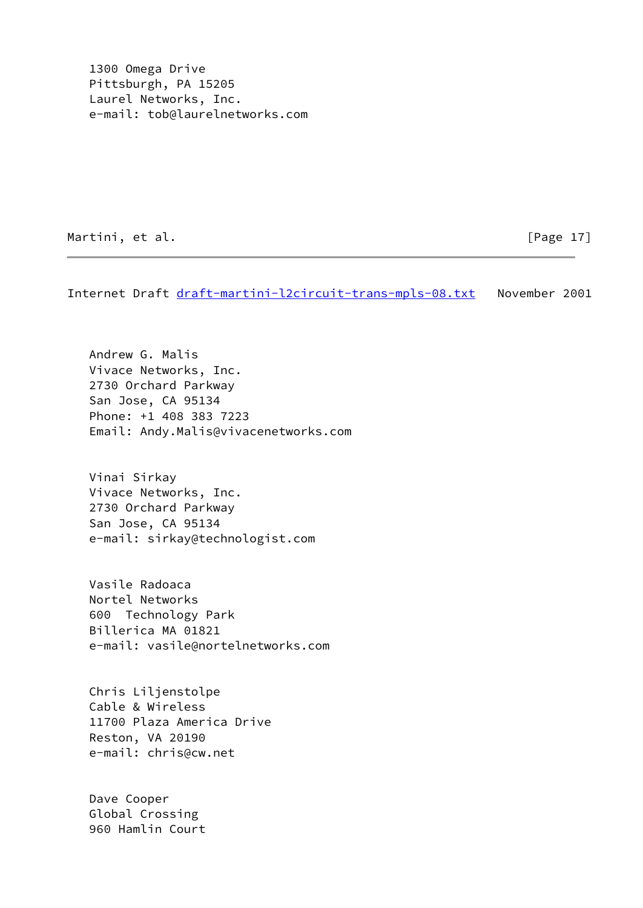1300 Omega Drive Pittsburgh, PA 15205 Laurel Networks, Inc. e-mail: tob@laurelnetworks.com

Martini, et al. [Page 17]

Internet Draft [draft-martini-l2circuit-trans-mpls-08.txt](https://datatracker.ietf.org/doc/pdf/draft-martini-l2circuit-trans-mpls-08.txt) November 2001

 Andrew G. Malis Vivace Networks, Inc. 2730 Orchard Parkway San Jose, CA 95134 Phone: +1 408 383 7223 Email: Andy.Malis@vivacenetworks.com

 Vinai Sirkay Vivace Networks, Inc. 2730 Orchard Parkway San Jose, CA 95134 e-mail: sirkay@technologist.com

 Vasile Radoaca Nortel Networks 600 Technology Park Billerica MA 01821 e-mail: vasile@nortelnetworks.com

 Chris Liljenstolpe Cable & Wireless 11700 Plaza America Drive Reston, VA 20190 e-mail: chris@cw.net

 Dave Cooper Global Crossing 960 Hamlin Court